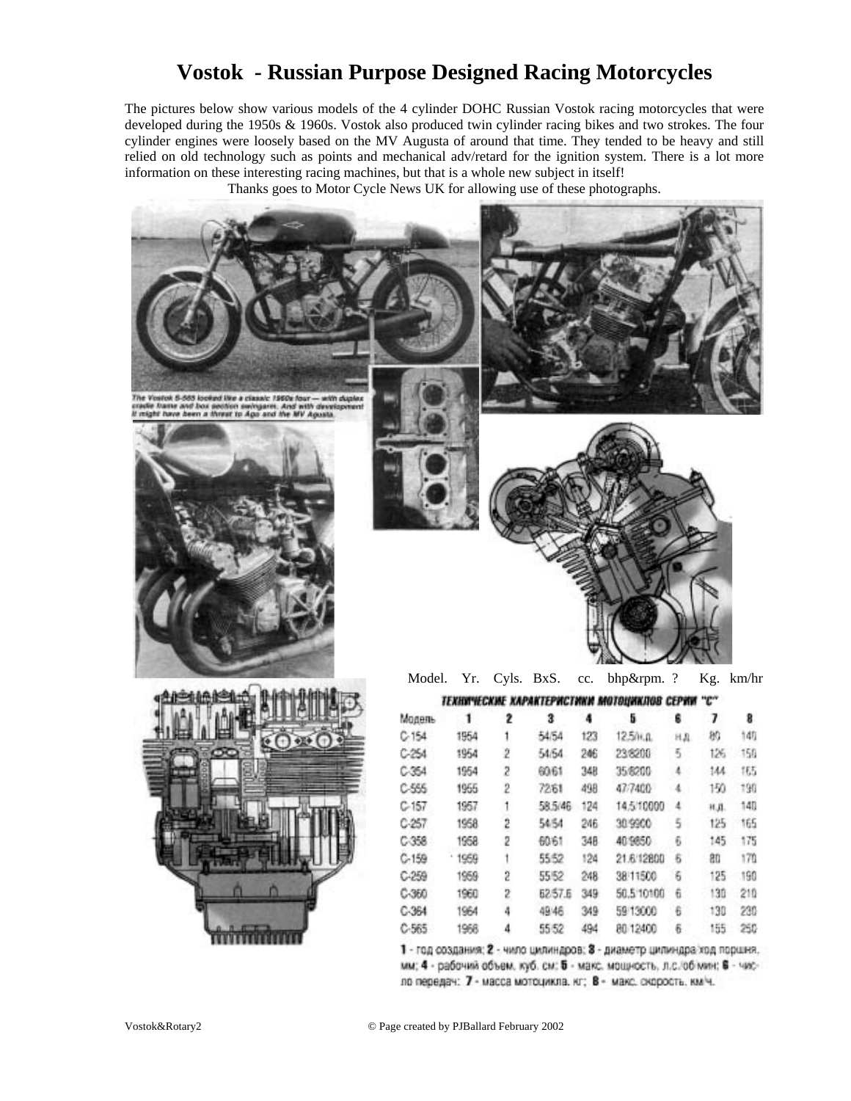## **Vostok - Russian Purpose Designed Racing Motorcycles**

The pictures below show various models of the 4 cylinder DOHC Russian Vostok racing motorcycles that were developed during the 1950s & 1960s. Vostok also produced twin cylinder racing bikes and two strokes. The four cylinder engines were loosely based on the MV Augusta of around that time. They tended to be heavy and still relied on old technology such as points and mechanical adv/retard for the ignition system. There is a lot more information on these interesting racing machines, but that is a whole new subject in itself!

Thanks goes to Motor Cycle News UK for allowing use of these photographs.



Vostok&Rotary2 © Page created by PJBallard February 2002

1964

1968

4

4

49'46

55 52

349

494

1 - год создания: 2 - чило цилиндров: 3 - диаметр цилиндра ход поршня. мм; 4 - рабочий объем, куб. см; 5 - макс. мощность, л.с./об мин; 6 - число передач: 7 - масса мотоцикла. кг; 8 - макс. скорость. км/ч.

59 13000

80 12400

130

155

6

 $\hat{\mathbf{h}}$ 

230

250

 $C-364$ 

 $C - 565$